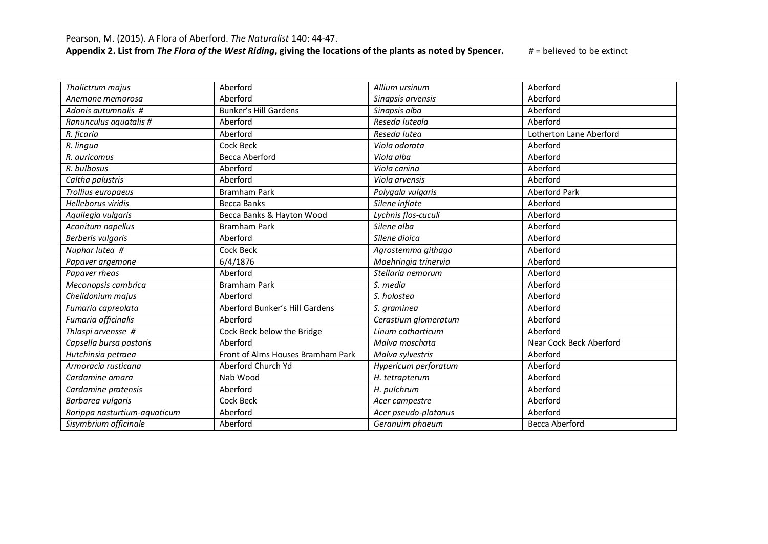| Thalictrum majus             | Aberford                          | Allium ursinum       | Aberford                |
|------------------------------|-----------------------------------|----------------------|-------------------------|
| Anemone memorosa             | Aberford                          | Sinapsis arvensis    | Aberford                |
| Adonis autumnalis #          | <b>Bunker's Hill Gardens</b>      | Sinapsis alba        | Aberford                |
| Ranunculus aquatalis #       | Aberford                          | Reseda luteola       | Aberford                |
| R. ficaria                   | Aberford                          | Reseda lutea         | Lotherton Lane Aberford |
| R. lingua                    | Cock Beck                         | Viola odorata        | Aberford                |
| R. auricomus                 | Becca Aberford                    | Viola alba           | Aberford                |
| R. bulbosus                  | Aberford                          | Viola canina         | Aberford                |
| Caltha palustris             | Aberford                          | Viola arvensis       | Aberford                |
| Trollius europaeus           | <b>Bramham Park</b>               | Polygala vulgaris    | <b>Aberford Park</b>    |
| <b>Helleborus viridis</b>    | Becca Banks                       | Silene inflate       | Aberford                |
| Aquilegia vulgaris           | Becca Banks & Hayton Wood         | Lychnis flos-cuculi  | Aberford                |
| Aconitum napellus            | <b>Bramham Park</b>               | Silene alba          | Aberford                |
| Berberis vulgaris            | Aberford                          | Silene dioica        | Aberford                |
| Nuphar lutea #               | Cock Beck                         | Agrostemma githago   | Aberford                |
| Papaver argemone             | 6/4/1876                          | Moehringia trinervia | Aberford                |
| Papaver rheas                | Aberford                          | Stellaria nemorum    | Aberford                |
| Meconopsis cambrica          | <b>Bramham Park</b>               | S. media             | Aberford                |
| Chelidonium majus            | Aberford                          | S. holostea          | Aberford                |
| Fumaria capreolata           | Aberford Bunker's Hill Gardens    | S. graminea          | Aberford                |
| Fumaria officinalis          | Aberford                          | Cerastium glomeratum | Aberford                |
| Thlaspi arvensse #           | Cock Beck below the Bridge        | Linum catharticum    | Aberford                |
| Capsella bursa pastoris      | Aberford                          | Malva moschata       | Near Cock Beck Aberford |
| Hutchinsia petraea           | Front of Alms Houses Bramham Park | Malva sylvestris     | Aberford                |
| Armoracia rusticana          | Aberford Church Yd                | Hypericum perforatum | Aberford                |
| Cardamine amara              | Nab Wood                          | H. tetrapterum       | Aberford                |
| Cardamine pratensis          | Aberford                          | H. pulchrum          | Aberford                |
| Barbarea vulgaris            | Cock Beck                         | Acer campestre       | Aberford                |
| Rorippa nasturtium-aquaticum | Aberford                          | Acer pseudo-platanus | Aberford                |
| Sisymbrium officinale        | Aberford                          | Geranuim phaeum      | <b>Becca Aberford</b>   |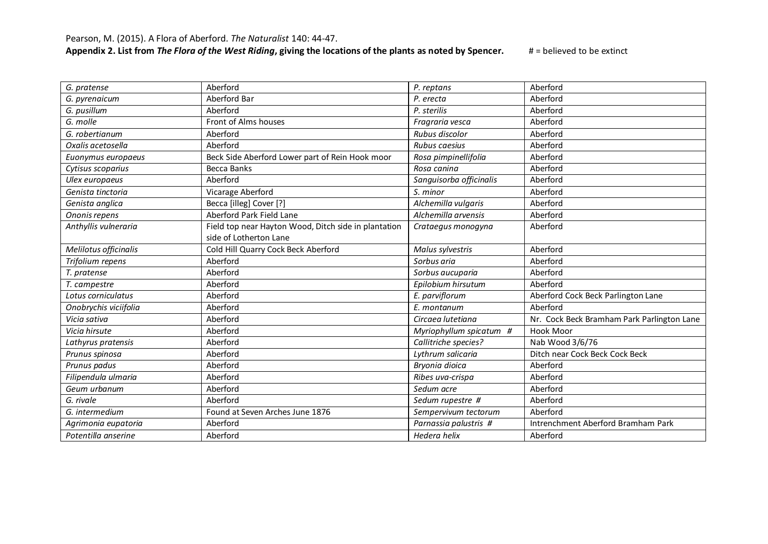| G. pratense           | Aberford                                             | P. reptans              | Aberford                                   |
|-----------------------|------------------------------------------------------|-------------------------|--------------------------------------------|
| G. pyrenaicum         | Aberford Bar                                         | P. erecta               | Aberford                                   |
| G. pusillum           | Aberford                                             | P. sterilis             | Aberford                                   |
| G. molle              | Front of Alms houses                                 | Fragraria vesca         | Aberford                                   |
| G. robertianum        | Aberford                                             | Rubus discolor          | Aberford                                   |
| Oxalis acetosella     | Aberford                                             | Rubus caesius           | Aberford                                   |
| Euonymus europaeus    | Beck Side Aberford Lower part of Rein Hook moor      | Rosa pimpinellifolia    | Aberford                                   |
| Cytisus scoparius     | <b>Becca Banks</b>                                   | Rosa canina             | Aberford                                   |
| Ulex europaeus        | Aberford                                             | Sanguisorba officinalis | Aberford                                   |
| Genista tinctoria     | Vicarage Aberford                                    | S. minor                | Aberford                                   |
| Genista anglica       | Becca [illeg] Cover [?]                              | Alchemilla vulgaris     | Aberford                                   |
| Ononis repens         | Aberford Park Field Lane                             | Alchemilla arvensis     | Aberford                                   |
| Anthyllis vulneraria  | Field top near Hayton Wood, Ditch side in plantation | Crataegus monogyna      | Aberford                                   |
|                       | side of Lotherton Lane                               |                         |                                            |
| Melilotus officinalis | Cold Hill Quarry Cock Beck Aberford                  | Malus sylvestris        | Aberford                                   |
| Trifolium repens      | Aberford                                             | Sorbus aria             | Aberford                                   |
| T. pratense           | Aberford                                             | Sorbus aucuparia        | Aberford                                   |
| T. campestre          | Aberford                                             | Epilobium hirsutum      | Aberford                                   |
| Lotus corniculatus    | Aberford                                             | E. parviflorum          | Aberford Cock Beck Parlington Lane         |
| Onobrychis viciifolia | Aberford                                             | E. montanum             | Aberford                                   |
| Vicia sativa          | Aberford                                             | Circaea lutetiana       | Nr. Cock Beck Bramham Park Parlington Lane |
| Vicia hirsute         | Aberford                                             | Myriophyllum spicatum # | Hook Moor                                  |
| Lathyrus pratensis    | Aberford                                             | Callitriche species?    | Nab Wood 3/6/76                            |
| Prunus spinosa        | Aberford                                             | Lythrum salicaria       | Ditch near Cock Beck Cock Beck             |
| Prunus padus          | Aberford                                             | Bryonia dioica          | Aberford                                   |
| Filipendula ulmaria   | Aberford                                             | Ribes uva-crispa        | Aberford                                   |
| Geum urbanum          | Aberford                                             | Sedum acre              | Aberford                                   |
| G. rivale             | Aberford                                             | Sedum rupestre #        | Aberford                                   |
| G. intermedium        | Found at Seven Arches June 1876                      | Sempervivum tectorum    | Aberford                                   |
| Agrimonia eupatoria   | Aberford                                             | Parnassia palustris #   | Intrenchment Aberford Bramham Park         |
| Potentilla anserine   | Aberford                                             | Hedera helix            | Aberford                                   |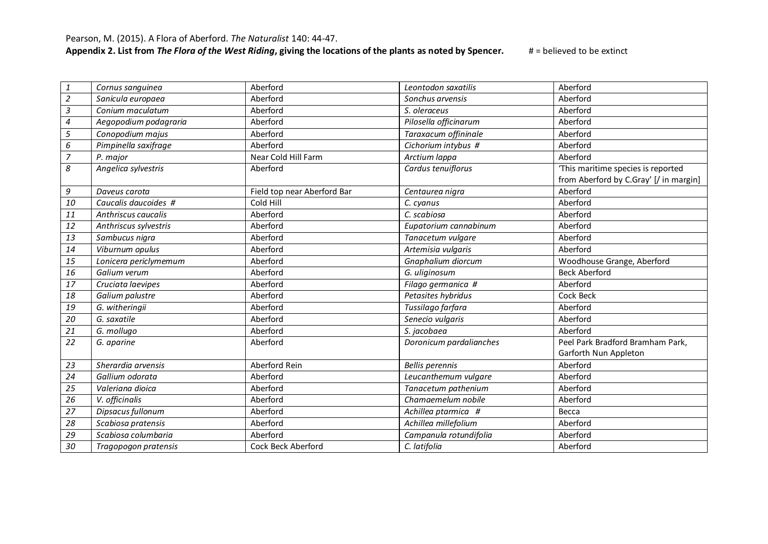Pearson, M. (2015). A Flora of Aberford. *The Naturalist* 140: 44-47.

| 1                        | Cornus sanguinea      | Aberford                    | Leontodon saxatilis     | Aberford                               |
|--------------------------|-----------------------|-----------------------------|-------------------------|----------------------------------------|
| $\overline{2}$           | Sanicula europaea     | Aberford                    | Sonchus arvensis        | Aberford                               |
| $\mathfrak{Z}$           | Conium maculatum      | Aberford                    | S. oleraceus            | Aberford                               |
| $\overline{\mathcal{A}}$ | Aegopodium podagraria | Aberford                    | Pilosella officinarum   | Aberford                               |
| 5                        | Conopodium majus      | Aberford                    | Taraxacum offininale    | Aberford                               |
| 6                        | Pimpinella saxifrage  | Aberford                    | Cichorium intybus #     | Aberford                               |
|                          |                       | Near Cold Hill Farm         |                         | Aberford                               |
| 7                        | P. major              |                             | Arctium lappa           |                                        |
| 8                        | Angelica sylvestris   | Aberford                    | Cardus tenuiflorus      | 'This maritime species is reported     |
|                          |                       |                             |                         | from Aberford by C.Gray' [/ in margin] |
| 9                        | Daveus carota         | Field top near Aberford Bar | Centaurea nigra         | Aberford                               |
| 10                       | Caucalis daucoides #  | Cold Hill                   | C. cyanus               | Aberford                               |
| 11                       | Anthriscus caucalis   | Aberford                    | C. scabiosa             | Aberford                               |
| 12                       | Anthriscus sylvestris | Aberford                    | Eupatorium cannabinum   | Aberford                               |
| 13                       | Sambucus nigra        | Aberford                    | Tanacetum vulgare       | Aberford                               |
| 14                       | Viburnum opulus       | Aberford                    | Artemisia vulgaris      | Aberford                               |
| 15                       | Lonicera periclymemum | Aberford                    | Gnaphalium diorcum      | Woodhouse Grange, Aberford             |
| 16                       | Galium verum          | Aberford                    | G. uliginosum           | <b>Beck Aberford</b>                   |
| 17                       | Cruciata laevipes     | Aberford                    | Filago germanica #      | Aberford                               |
| 18                       | Galium palustre       | Aberford                    | Petasites hybridus      | Cock Beck                              |
| 19                       | G. witheringii        | Aberford                    | Tussilago farfara       | Aberford                               |
| 20                       | G. saxatile           | Aberford                    | Senecio vulgaris        | Aberford                               |
| 21                       | G. mollugo            | Aberford                    | S. jacobaea             | Aberford                               |
| 22                       | G. aparine            | Aberford                    | Doronicum pardalianches | Peel Park Bradford Bramham Park,       |
|                          |                       |                             |                         | Garforth Nun Appleton                  |
| 23                       | Sherardia arvensis    | Aberford Rein               | <b>Bellis perennis</b>  | Aberford                               |
| 24                       | Gallium odorata       | Aberford                    | Leucanthemum vulgare    | Aberford                               |
| 25                       | Valeriana dioica      | Aberford                    | Tanacetum pathenium     | Aberford                               |
| 26                       | V. officinalis        | Aberford                    | Chamaemelum nobile      | Aberford                               |
| 27                       | Dipsacus fullonum     | Aberford                    | Achillea ptarmica #     | Becca                                  |
| 28                       | Scabiosa pratensis    | Aberford                    | Achillea millefolium    | Aberford                               |
| 29                       | Scabiosa columbaria   | Aberford                    | Campanula rotundifolia  | Aberford                               |
| 30                       | Tragopogon pratensis  | Cock Beck Aberford          | C. latifolia            | Aberford                               |
|                          |                       |                             |                         |                                        |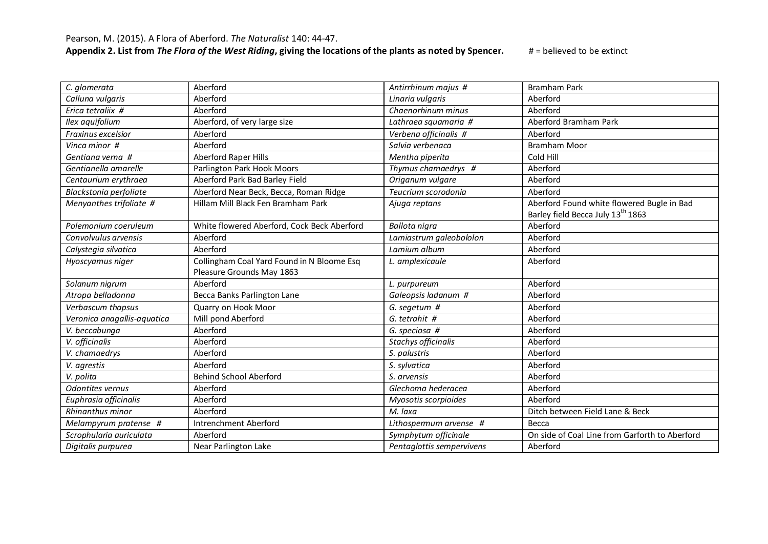|                             | Aberford                                    |                           |                                                |
|-----------------------------|---------------------------------------------|---------------------------|------------------------------------------------|
| C. glomerata                |                                             | Antirrhinum majus #       | <b>Bramham Park</b>                            |
| Calluna vulgaris            | Aberford                                    | Linaria vulgaris          | Aberford                                       |
| Erica tetraliix #           | Aberford                                    | Chaenorhinum minus        | Aberford                                       |
| Ilex aquifolium             | Aberford, of very large size                | Lathraea squamaria #      | Aberford Bramham Park                          |
| Fraxinus excelsior          | Aberford                                    | Verbena officinalis #     | Aberford                                       |
| Vinca minor #               | Aberford                                    | Salvia verbenaca          | <b>Bramham Moor</b>                            |
| Gentiana verna #            | <b>Aberford Raper Hills</b>                 | Mentha piperita           | Cold Hill                                      |
| Gentianella amarelle        | Parlington Park Hook Moors                  | Thymus chamaedrys #       | Aberford                                       |
| Centaurium erythraea        | Aberford Park Bad Barley Field              | Origanum vulgare          | Aberford                                       |
| Blackstonia perfoliate      | Aberford Near Beck, Becca, Roman Ridge      | Teucrium scorodonia       | Aberford                                       |
| Menyanthes trifoliate #     | Hillam Mill Black Fen Bramham Park          | Ajuga reptans             | Aberford Found white flowered Bugle in Bad     |
|                             |                                             |                           | Barley field Becca July 13th 1863              |
| Polemonium coeruleum        | White flowered Aberford, Cock Beck Aberford | Ballota nigra             | Aberford                                       |
| Convolvulus arvensis        | Aberford                                    | Lamiastrum galeobololon   | Aberford                                       |
| Calystegia silvatica        | Aberford                                    | Lamium album              | Aberford                                       |
| Hyoscyamus niger            | Collingham Coal Yard Found in N Bloome Esq  | L. amplexicaule           | Aberford                                       |
|                             | Pleasure Grounds May 1863                   |                           |                                                |
| Solanum nigrum              | Aberford                                    | L. purpureum              | Aberford                                       |
| Atropa belladonna           | Becca Banks Parlington Lane                 | Galeopsis ladanum #       | Aberford                                       |
| Verbascum thapsus           | Quarry on Hook Moor                         | G. segetum #              | Aberford                                       |
| Veronica anagallis-aquatica | Mill pond Aberford                          | G. tetrahit #             | Aberford                                       |
| V. beccabunga               | Aberford                                    | G. speciosa #             | Aberford                                       |
| V. officinalis              | Aberford                                    | Stachys officinalis       | Aberford                                       |
| V. chamaedrys               | Aberford                                    | S. palustris              | Aberford                                       |
| V. agrestis                 | Aberford                                    | S. sylvatica              | Aberford                                       |
| V. polita                   | <b>Behind School Aberford</b>               | S. arvensis               | Aberford                                       |
| <b>Odontites vernus</b>     | Aberford                                    | Glechoma hederacea        | Aberford                                       |
| Euphrasia officinalis       | Aberford                                    | Myosotis scorpioides      | Aberford                                       |
| Rhinanthus minor            | Aberford                                    | M. laxa                   | Ditch between Field Lane & Beck                |
| Melampyrum pratense #       | Intrenchment Aberford                       | Lithospermum arvense #    | Becca                                          |
| Scrophularia auriculata     | Aberford                                    | Symphytum officinale      | On side of Coal Line from Garforth to Aberford |
| Digitalis purpurea          | Near Parlington Lake                        | Pentaglottis sempervivens | Aberford                                       |
|                             |                                             |                           |                                                |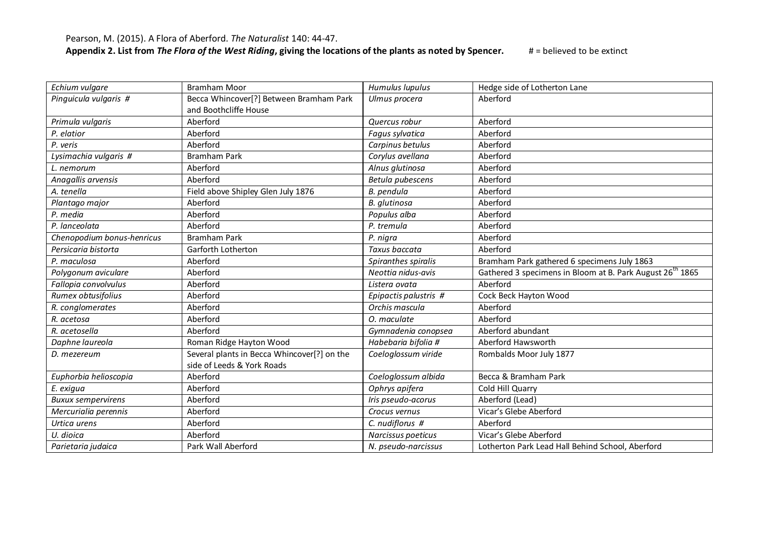| Echium vulgare             | <b>Bramham Moor</b>                         | Humulus lupulus               | Hedge side of Lotherton Lane                                          |
|----------------------------|---------------------------------------------|-------------------------------|-----------------------------------------------------------------------|
| Pinguicula vulgaris #      | Becca Whincover[?] Between Bramham Park     | Ulmus procera                 | Aberford                                                              |
|                            | and Boothcliffe House                       |                               |                                                                       |
| Primula vulgaris           | Aberford                                    | Quercus robur                 | Aberford                                                              |
| P. elatior                 | Aberford                                    | <b>Fagus sylvatica</b>        | Aberford                                                              |
| P. veris                   | Aberford                                    | Carpinus betulus              | Aberford                                                              |
| Lysimachia vulgaris #      | <b>Bramham Park</b>                         | Corylus avellana              | Aberford                                                              |
| L. nemorum                 | Aberford                                    | Alnus glutinosa               | Aberford                                                              |
| Anagallis arvensis         | Aberford                                    | Betula pubescens              | Aberford                                                              |
| A. tenella                 | Field above Shipley Glen July 1876          | B. pendula                    | Aberford                                                              |
| Plantago major             | Aberford                                    | B. glutinosa                  | Aberford                                                              |
| P. media                   | Aberford                                    | Populus alba                  | Aberford                                                              |
| P. lanceolata              | Aberford                                    | P. tremula                    | Aberford                                                              |
| Chenopodium bonus-henricus | <b>Bramham Park</b>                         | P. nigra                      | Aberford                                                              |
| Persicaria bistorta        | Garforth Lotherton                          | Taxus baccata                 | Aberford                                                              |
| P. maculosa                | Aberford                                    | Spiranthes spiralis           | Bramham Park gathered 6 specimens July 1863                           |
| Polygonum aviculare        | Aberford                                    | Neottia nidus-avis            | Gathered 3 specimens in Bloom at B. Park August 26 <sup>th</sup> 1865 |
| Fallopia convolvulus       | Aberford                                    | Listera ovata                 | Aberford                                                              |
| Rumex obtusifolius         | Aberford                                    | Epipactis palustris #         | Cock Beck Hayton Wood                                                 |
| R. conglomerates           | Aberford                                    | Orchis mascula                | Aberford                                                              |
| R. acetosa                 | Aberford                                    | O. maculate                   | Aberford                                                              |
| R. acetosella              | Aberford                                    | Gymnadenia conopsea           | Aberford abundant                                                     |
| Daphne laureola            | Roman Ridge Hayton Wood                     | Habebaria bifolia #           | Aberford Hawsworth                                                    |
| D. mezereum                | Several plants in Becca Whincover[?] on the | Coeloglossum viride           | Rombalds Moor July 1877                                               |
|                            | side of Leeds & York Roads                  |                               |                                                                       |
| Euphorbia helioscopia      | Aberford                                    | Coeloglossum albida           | Becca & Bramham Park                                                  |
| E. exigua                  | Aberford                                    | Ophrys apifera                | Cold Hill Quarry                                                      |
| <b>Buxux sempervirens</b>  | Aberford                                    | Iris pseudo-acorus            | Aberford (Lead)                                                       |
| Mercurialia perennis       | Aberford                                    | Crocus vernus                 | Vicar's Glebe Aberford                                                |
| Urtica urens               | Aberford                                    | $\overline{C}$ . nudiflorus # | Aberford                                                              |
| U. dioica                  | Aberford                                    | Narcissus poeticus            | Vicar's Glebe Aberford                                                |
| Parietaria judaica         | Park Wall Aberford                          | N. pseudo-narcissus           | Lotherton Park Lead Hall Behind School, Aberford                      |